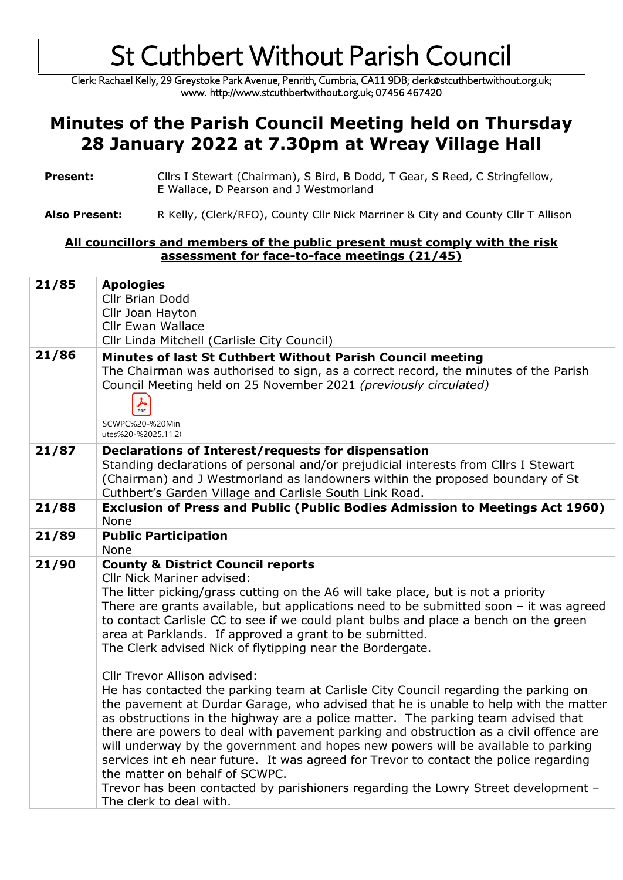Clerk: Rachael Kelly, 29 Greystoke Park Avenue, Penrith, Cumbria, CA11 9DB; clerk@stcuthbertwithout.org.uk; www. http://www.stcuthbertwithout.org.uk; 07456 467420

#### **Minutes of the Parish Council Meeting held on Thursday 28 January 2022 at 7.30pm at Wreay Village Hall**

| <b>Present:</b> | Cllrs I Stewart (Chairman), S Bird, B Dodd, T Gear, S Reed, C Stringfellow, |
|-----------------|-----------------------------------------------------------------------------|
|                 | E Wallace, D Pearson and J Westmorland                                      |

Also Present: R Kelly, (Clerk/RFO), County Cllr Nick Marriner & City and County Cllr T Allison

#### **All councillors and members of the public present must comply with the risk assessment for face-to-face meetings (21/45)**

| 21/85<br>21/86 | <b>Apologies</b><br>Cllr Brian Dodd<br>Cllr Joan Hayton<br><b>Cllr Ewan Wallace</b><br>Cllr Linda Mitchell (Carlisle City Council)<br>Minutes of last St Cuthbert Without Parish Council meeting                                                                                                                                                                                                                                                                                                                                                                                                                                                                                                                                  |
|----------------|-----------------------------------------------------------------------------------------------------------------------------------------------------------------------------------------------------------------------------------------------------------------------------------------------------------------------------------------------------------------------------------------------------------------------------------------------------------------------------------------------------------------------------------------------------------------------------------------------------------------------------------------------------------------------------------------------------------------------------------|
|                | The Chairman was authorised to sign, as a correct record, the minutes of the Parish<br>Council Meeting held on 25 November 2021 (previously circulated)<br>$\frac{1}{\text{PDF}}$<br>SCWPC%20-%20Min<br>utes%20-%2025.11.2(                                                                                                                                                                                                                                                                                                                                                                                                                                                                                                       |
| 21/87          | Declarations of Interest/requests for dispensation<br>Standing declarations of personal and/or prejudicial interests from Cllrs I Stewart<br>(Chairman) and J Westmorland as landowners within the proposed boundary of St<br>Cuthbert's Garden Village and Carlisle South Link Road.                                                                                                                                                                                                                                                                                                                                                                                                                                             |
| 21/88          | Exclusion of Press and Public (Public Bodies Admission to Meetings Act 1960)<br>None                                                                                                                                                                                                                                                                                                                                                                                                                                                                                                                                                                                                                                              |
| 21/89          | <b>Public Participation</b><br>None                                                                                                                                                                                                                                                                                                                                                                                                                                                                                                                                                                                                                                                                                               |
| 21/90          | <b>County &amp; District Council reports</b><br><b>Cllr Nick Mariner advised:</b><br>The litter picking/grass cutting on the A6 will take place, but is not a priority<br>There are grants available, but applications need to be submitted soon $-$ it was agreed<br>to contact Carlisle CC to see if we could plant bulbs and place a bench on the green<br>area at Parklands. If approved a grant to be submitted.<br>The Clerk advised Nick of flytipping near the Bordergate.                                                                                                                                                                                                                                                |
|                | <b>Cllr Trevor Allison advised:</b><br>He has contacted the parking team at Carlisle City Council regarding the parking on<br>the pavement at Durdar Garage, who advised that he is unable to help with the matter<br>as obstructions in the highway are a police matter. The parking team advised that<br>there are powers to deal with pavement parking and obstruction as a civil offence are<br>will underway by the government and hopes new powers will be available to parking<br>services int eh near future. It was agreed for Trevor to contact the police regarding<br>the matter on behalf of SCWPC.<br>Trevor has been contacted by parishioners regarding the Lowry Street development -<br>The clerk to deal with. |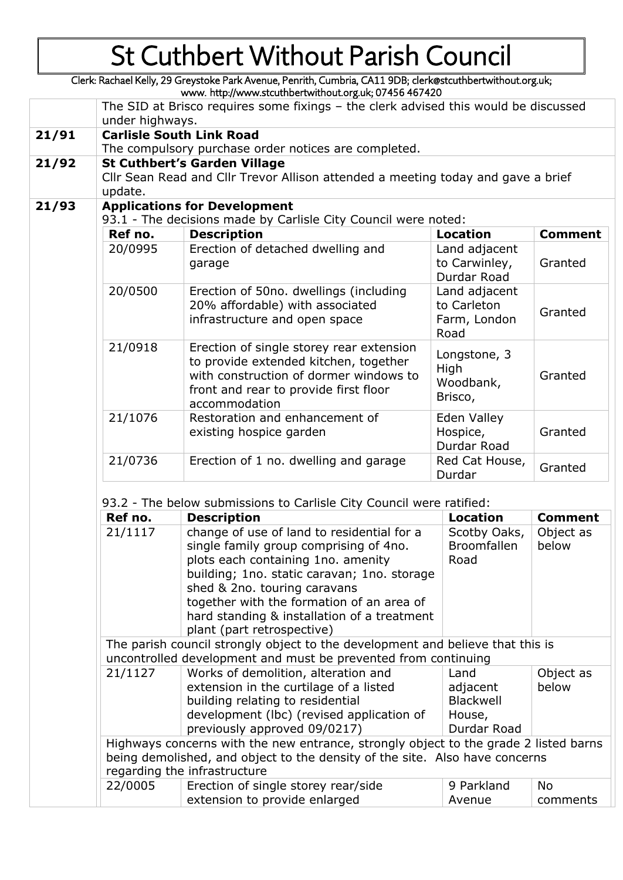Clerk: Rachael Kelly, 29 Greystoke Park Avenue, Penrith, Cumbria, CA11 9DB; clerk@stcuthbertwithout.org.uk; www. http://www.stcuthbertwithout.org.uk; 07456 467420

|       |                                                                                                                                    | The SID at Brisco requires some fixings - the clerk advised this would be discussed                                                                                                                                                                                                                                                 |                                                               |                       |  |  |  |
|-------|------------------------------------------------------------------------------------------------------------------------------------|-------------------------------------------------------------------------------------------------------------------------------------------------------------------------------------------------------------------------------------------------------------------------------------------------------------------------------------|---------------------------------------------------------------|-----------------------|--|--|--|
| 21/91 | under highways.                                                                                                                    |                                                                                                                                                                                                                                                                                                                                     |                                                               |                       |  |  |  |
|       | <b>Carlisle South Link Road</b><br>The compulsory purchase order notices are completed.                                            |                                                                                                                                                                                                                                                                                                                                     |                                                               |                       |  |  |  |
| 21/92 | <b>St Cuthbert's Garden Village</b><br>Cllr Sean Read and Cllr Trevor Allison attended a meeting today and gave a brief<br>update. |                                                                                                                                                                                                                                                                                                                                     |                                                               |                       |  |  |  |
| 21/93 |                                                                                                                                    | <b>Applications for Development</b><br>93.1 - The decisions made by Carlisle City Council were noted:                                                                                                                                                                                                                               |                                                               |                       |  |  |  |
|       | Ref no.                                                                                                                            | <b>Description</b>                                                                                                                                                                                                                                                                                                                  | <b>Location</b>                                               | <b>Comment</b>        |  |  |  |
|       | 20/0995                                                                                                                            | Erection of detached dwelling and<br>garage                                                                                                                                                                                                                                                                                         | Land adjacent<br>to Carwinley,<br>Durdar Road                 | Granted               |  |  |  |
|       | 20/0500                                                                                                                            | Erection of 50no. dwellings (including<br>20% affordable) with associated<br>infrastructure and open space                                                                                                                                                                                                                          | Land adjacent<br>to Carleton<br>Farm, London<br>Road          | Granted               |  |  |  |
|       | 21/0918                                                                                                                            | Erection of single storey rear extension<br>Longstone, 3<br>to provide extended kitchen, together<br>High<br>with construction of dormer windows to<br>Granted<br>Woodbank,<br>front and rear to provide first floor<br>Brisco,<br>accommodation                                                                                    |                                                               |                       |  |  |  |
|       | 21/1076                                                                                                                            | Restoration and enhancement of<br>existing hospice garden                                                                                                                                                                                                                                                                           | Eden Valley<br>Hospice,<br>Durdar Road                        | Granted               |  |  |  |
|       | 21/0736                                                                                                                            | Erection of 1 no. dwelling and garage                                                                                                                                                                                                                                                                                               | Red Cat House,<br>Durdar                                      | Granted               |  |  |  |
|       |                                                                                                                                    |                                                                                                                                                                                                                                                                                                                                     |                                                               |                       |  |  |  |
|       |                                                                                                                                    | 93.2 - The below submissions to Carlisle City Council were ratified:                                                                                                                                                                                                                                                                |                                                               |                       |  |  |  |
|       | Ref no.                                                                                                                            | <b>Description</b>                                                                                                                                                                                                                                                                                                                  | <b>Location</b>                                               | <b>Comment</b>        |  |  |  |
|       | 21/1117                                                                                                                            | change of use of land to residential for a<br>single family group comprising of 4no.<br>plots each containing 1no. amenity<br>building; 1no. static caravan; 1no. storage<br>shed & 2no. touring caravans<br>together with the formation of an area of<br>hard standing & installation of a treatment<br>plant (part retrospective) | Scotby Oaks,<br><b>Broomfallen</b><br>Road                    | Object as<br>below    |  |  |  |
|       |                                                                                                                                    | The parish council strongly object to the development and believe that this is                                                                                                                                                                                                                                                      |                                                               |                       |  |  |  |
|       |                                                                                                                                    | uncontrolled development and must be prevented from continuing                                                                                                                                                                                                                                                                      |                                                               |                       |  |  |  |
|       | 21/1127                                                                                                                            | Works of demolition, alteration and<br>extension in the curtilage of a listed<br>building relating to residential<br>development (lbc) (revised application of<br>previously approved 09/0217)                                                                                                                                      | Land<br>adjacent<br><b>Blackwell</b><br>House,<br>Durdar Road | Object as<br>below    |  |  |  |
|       | Highways concerns with the new entrance, strongly object to the grade 2 listed barns                                               |                                                                                                                                                                                                                                                                                                                                     |                                                               |                       |  |  |  |
|       |                                                                                                                                    | being demolished, and object to the density of the site. Also have concerns<br>regarding the infrastructure                                                                                                                                                                                                                         |                                                               |                       |  |  |  |
|       | 22/0005                                                                                                                            | Erection of single storey rear/side<br>extension to provide enlarged                                                                                                                                                                                                                                                                | 9 Parkland<br>Avenue                                          | <b>No</b><br>comments |  |  |  |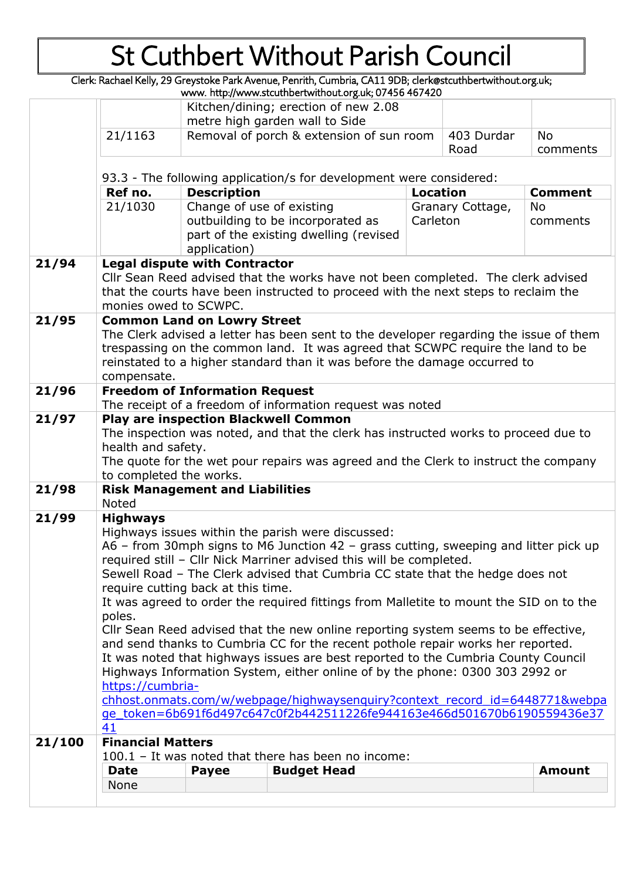Clerk: Rachael Kelly, 29 Greystoke Park Avenue, Penrith, Cumbria, CA11 9DB; clerk@stcuthbertwithout.org.uk;

|        |                                                                                                                                                                                                                                                                                                                                                                                                                                                |                                                                     | www. http://www.stcuthbertwithout.org.uk; 07456 467420                                                                                                       |                 |                  |                |
|--------|------------------------------------------------------------------------------------------------------------------------------------------------------------------------------------------------------------------------------------------------------------------------------------------------------------------------------------------------------------------------------------------------------------------------------------------------|---------------------------------------------------------------------|--------------------------------------------------------------------------------------------------------------------------------------------------------------|-----------------|------------------|----------------|
|        | Kitchen/dining; erection of new 2.08                                                                                                                                                                                                                                                                                                                                                                                                           |                                                                     |                                                                                                                                                              |                 |                  |                |
|        |                                                                                                                                                                                                                                                                                                                                                                                                                                                |                                                                     | metre high garden wall to Side                                                                                                                               |                 |                  |                |
|        | 21/1163                                                                                                                                                                                                                                                                                                                                                                                                                                        |                                                                     | Removal of porch & extension of sun room                                                                                                                     |                 | 403 Durdar       | <b>No</b>      |
|        |                                                                                                                                                                                                                                                                                                                                                                                                                                                |                                                                     |                                                                                                                                                              |                 | Road             | comments       |
|        |                                                                                                                                                                                                                                                                                                                                                                                                                                                |                                                                     |                                                                                                                                                              |                 |                  |                |
|        |                                                                                                                                                                                                                                                                                                                                                                                                                                                | 93.3 - The following application/s for development were considered: |                                                                                                                                                              |                 |                  |                |
|        | Ref no.                                                                                                                                                                                                                                                                                                                                                                                                                                        | <b>Description</b>                                                  |                                                                                                                                                              | <b>Location</b> |                  | <b>Comment</b> |
|        | 21/1030                                                                                                                                                                                                                                                                                                                                                                                                                                        | Change of use of existing                                           |                                                                                                                                                              |                 | Granary Cottage, | <b>No</b>      |
|        |                                                                                                                                                                                                                                                                                                                                                                                                                                                |                                                                     | outbuilding to be incorporated as                                                                                                                            | Carleton        |                  | comments       |
|        |                                                                                                                                                                                                                                                                                                                                                                                                                                                |                                                                     | part of the existing dwelling (revised                                                                                                                       |                 |                  |                |
|        |                                                                                                                                                                                                                                                                                                                                                                                                                                                | application)                                                        |                                                                                                                                                              |                 |                  |                |
| 21/94  |                                                                                                                                                                                                                                                                                                                                                                                                                                                | <b>Legal dispute with Contractor</b>                                |                                                                                                                                                              |                 |                  |                |
|        |                                                                                                                                                                                                                                                                                                                                                                                                                                                |                                                                     | Cllr Sean Reed advised that the works have not been completed. The clerk advised                                                                             |                 |                  |                |
|        |                                                                                                                                                                                                                                                                                                                                                                                                                                                |                                                                     | that the courts have been instructed to proceed with the next steps to reclaim the                                                                           |                 |                  |                |
|        | monies owed to SCWPC.                                                                                                                                                                                                                                                                                                                                                                                                                          |                                                                     |                                                                                                                                                              |                 |                  |                |
| 21/95  |                                                                                                                                                                                                                                                                                                                                                                                                                                                | <b>Common Land on Lowry Street</b>                                  |                                                                                                                                                              |                 |                  |                |
|        |                                                                                                                                                                                                                                                                                                                                                                                                                                                |                                                                     | The Clerk advised a letter has been sent to the developer regarding the issue of them                                                                        |                 |                  |                |
|        |                                                                                                                                                                                                                                                                                                                                                                                                                                                |                                                                     | trespassing on the common land. It was agreed that SCWPC require the land to be<br>reinstated to a higher standard than it was before the damage occurred to |                 |                  |                |
|        | compensate.                                                                                                                                                                                                                                                                                                                                                                                                                                    |                                                                     |                                                                                                                                                              |                 |                  |                |
| 21/96  |                                                                                                                                                                                                                                                                                                                                                                                                                                                | <b>Freedom of Information Request</b>                               |                                                                                                                                                              |                 |                  |                |
|        |                                                                                                                                                                                                                                                                                                                                                                                                                                                |                                                                     | The receipt of a freedom of information request was noted                                                                                                    |                 |                  |                |
| 21/97  |                                                                                                                                                                                                                                                                                                                                                                                                                                                |                                                                     |                                                                                                                                                              |                 |                  |                |
|        | <b>Play are inspection Blackwell Common</b><br>The inspection was noted, and that the clerk has instructed works to proceed due to                                                                                                                                                                                                                                                                                                             |                                                                     |                                                                                                                                                              |                 |                  |                |
|        | health and safety.                                                                                                                                                                                                                                                                                                                                                                                                                             |                                                                     |                                                                                                                                                              |                 |                  |                |
|        |                                                                                                                                                                                                                                                                                                                                                                                                                                                |                                                                     | The quote for the wet pour repairs was agreed and the Clerk to instruct the company                                                                          |                 |                  |                |
|        | to completed the works.                                                                                                                                                                                                                                                                                                                                                                                                                        |                                                                     |                                                                                                                                                              |                 |                  |                |
| 21/98  |                                                                                                                                                                                                                                                                                                                                                                                                                                                | <b>Risk Management and Liabilities</b>                              |                                                                                                                                                              |                 |                  |                |
|        | <b>Noted</b>                                                                                                                                                                                                                                                                                                                                                                                                                                   |                                                                     |                                                                                                                                                              |                 |                  |                |
| 21/99  | <b>Highways</b>                                                                                                                                                                                                                                                                                                                                                                                                                                |                                                                     |                                                                                                                                                              |                 |                  |                |
|        | Highways issues within the parish were discussed:<br>A6 – from 30mph signs to M6 Junction 42 – grass cutting, sweeping and litter pick up<br>required still - Cllr Nick Marriner advised this will be completed.                                                                                                                                                                                                                               |                                                                     |                                                                                                                                                              |                 |                  |                |
|        |                                                                                                                                                                                                                                                                                                                                                                                                                                                |                                                                     |                                                                                                                                                              |                 |                  |                |
|        |                                                                                                                                                                                                                                                                                                                                                                                                                                                |                                                                     |                                                                                                                                                              |                 |                  |                |
|        | Sewell Road - The Clerk advised that Cumbria CC state that the hedge does not                                                                                                                                                                                                                                                                                                                                                                  |                                                                     |                                                                                                                                                              |                 |                  |                |
|        | require cutting back at this time.                                                                                                                                                                                                                                                                                                                                                                                                             |                                                                     |                                                                                                                                                              |                 |                  |                |
|        | It was agreed to order the required fittings from Malletite to mount the SID on to the<br>poles.<br>Cllr Sean Reed advised that the new online reporting system seems to be effective,<br>and send thanks to Cumbria CC for the recent pothole repair works her reported.<br>It was noted that highways issues are best reported to the Cumbria County Council<br>Highways Information System, either online of by the phone: 0300 303 2992 or |                                                                     |                                                                                                                                                              |                 |                  |                |
|        |                                                                                                                                                                                                                                                                                                                                                                                                                                                |                                                                     |                                                                                                                                                              |                 |                  |                |
|        |                                                                                                                                                                                                                                                                                                                                                                                                                                                |                                                                     |                                                                                                                                                              |                 |                  |                |
|        |                                                                                                                                                                                                                                                                                                                                                                                                                                                |                                                                     |                                                                                                                                                              |                 |                  |                |
|        |                                                                                                                                                                                                                                                                                                                                                                                                                                                |                                                                     |                                                                                                                                                              |                 |                  |                |
|        | https://cumbria-                                                                                                                                                                                                                                                                                                                                                                                                                               |                                                                     |                                                                                                                                                              |                 |                  |                |
|        | chhost.onmats.com/w/webpage/highwaysenguiry?context_record_id=6448771&webpa                                                                                                                                                                                                                                                                                                                                                                    |                                                                     |                                                                                                                                                              |                 |                  |                |
|        |                                                                                                                                                                                                                                                                                                                                                                                                                                                |                                                                     | ge token=6b691f6d497c647c0f2b442511226fe944163e466d501670b6190559436e37                                                                                      |                 |                  |                |
|        | 41                                                                                                                                                                                                                                                                                                                                                                                                                                             |                                                                     |                                                                                                                                                              |                 |                  |                |
| 21/100 | <b>Financial Matters</b>                                                                                                                                                                                                                                                                                                                                                                                                                       |                                                                     |                                                                                                                                                              |                 |                  |                |
|        | 100.1 - It was noted that there has been no income:                                                                                                                                                                                                                                                                                                                                                                                            |                                                                     |                                                                                                                                                              |                 |                  |                |
|        | <b>Date</b>                                                                                                                                                                                                                                                                                                                                                                                                                                    | <b>Payee</b>                                                        | <b>Budget Head</b>                                                                                                                                           |                 |                  | <b>Amount</b>  |
|        | None                                                                                                                                                                                                                                                                                                                                                                                                                                           |                                                                     |                                                                                                                                                              |                 |                  |                |
|        |                                                                                                                                                                                                                                                                                                                                                                                                                                                |                                                                     |                                                                                                                                                              |                 |                  |                |